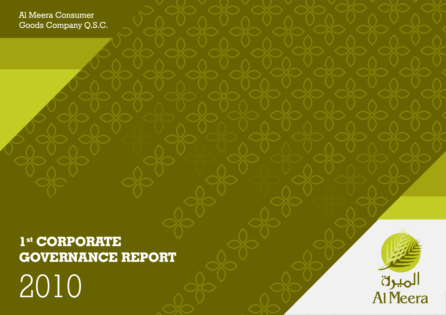# **1st CORPORATE GOVERNANCE REPORT**  2010



Al Meera Consumer Goods Company Q.S.C.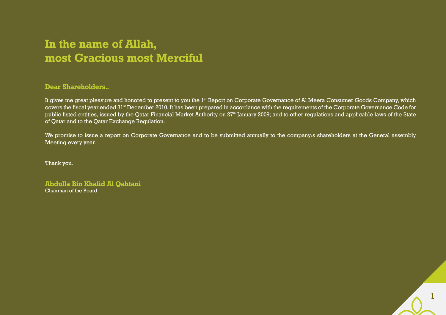## **In the name of Allah, most Gracious most Merciful**

### **Dear Shareholders..**

It gives me great pleasure and honored to present to you the 1<sup>st</sup> Report on Corporate Governance of Al Meera Consumer Goods Company, which covers the fiscal year ended 31st December 2010. It has been prepared in accordance with the requirements of the Corporate Governance Code for public listed entities, issued by the Qatar Financial Market Authority on 27<sup>th</sup> January 2009; and to other regulations and applicable laws of the State of Qatar and to the Qatar Exchange Regulation.

We promise to issue a report on Corporate Governance and to be submitted annually to the company's shareholders at the General assembly Meeting every year.

Thank you.

**Abdulla Bin Khalid Al Qahtani** Chairman of the Board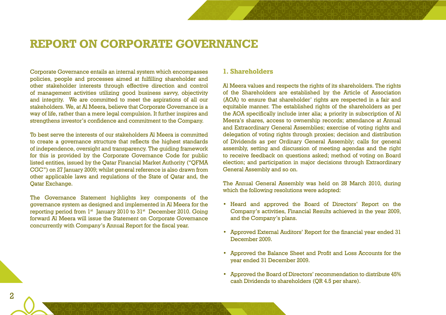### **REPORT ON CORPORATE GOVERNANCE**

Corporate Governance entails an internal system which encompasses policies, people and processes aimed at fulfilling shareholder and other stakeholder interests through effective direction and control of management activities utilizing good business savvy, objectivity and integrity. We are committed to meet the aspirations of all our stakeholders. We, at Al Meera, believe that Corporate Governance is a way of life, rather than a mere legal compulsion. It further inspires and strengthens investor's confidence and commitment to the Company.

To best serve the interests of our stakeholders Al Meera is committed to create a governance structure that reflects the highest standards of independence, oversight and transparency. The guiding framework for this is provided by the Corporate Governance Code for public listed entities, issued by the Qatar Financial Market Authority ("QFMA CGC") on 27 January 2009; whilst general reference is also drawn from other applicable laws and regulations of the State of Qatar and, the Qatar Exchange.

The Governance Statement highlights key components of the governance system as designed and implemented in Al Meera for the reporting period from  $1^{st}$  January 2010 to  $31^{st}$  December 2010. Going forward Al Meera will issue the Statement on Corporate Governance concurrently with Company's Annual Report for the fiscal year.

#### **1. Shareholders**

Al Meera values and respects the rights of its shareholders. The rights of the Shareholders are established by the Article of Association (AOA) to ensure that shareholder' rights are respected in a fair and equitable manner. The established rights of the shareholders as per the AOA specifically include inter alia; a priority in subscription of Al Meera's shares, access to ownership records; attendance at Annual and Extraordinary General Assemblies; exercise of voting rights and delegation of voting rights through proxies; decision and distribution of Dividends as per Ordinary General Assembly; calls for general assembly, setting and discussion of meeting agendas and the right to receive feedback on questions asked; method of voting on Board election; and participation in major decisions through Extraordinary General Assembly and so on.

The Annual General Assembly was held on 28 March 2010, during which the following resolutions were adopted:

- • Heard and approved the Board of Directors' Report on the Company's activities, Financial Results achieved in the year 2009, and the Company's plans.
- • Approved External Auditors' Report for the financial year ended 31 December 2009.
- • Approved the Balance Sheet and Profit and Loss Accounts for the year ended 31 December 2009.
- • Approved the Board of Directors' recommendation to distribute 45% cash Dividends to shareholders (QR 4.5 per share).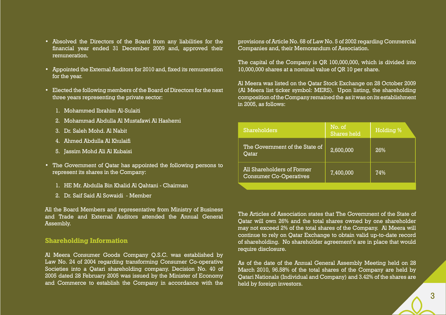- • Absolved the Directors of the Board from any liabilities for the financial year ended 31 December 2009 and, approved their remuneration.
- • Appointed the External Auditors for 2010 and, fixed its remuneration for the year.
- Elected the following members of the Board of Directors for the next three years representing the private sector:
	- 1. Mohammed Ibrahim Al-Sulaiti
	- 2. Mohammad Abdulla Al Mustafawi Al Hashemi
	- 3. Dr. Saleh Mohd. Al Nabit
	- 4. Ahmed Abdulla Al Khulaifi
	- 5. Jassim Mohd Ali Al Kubaisi
- The Government of Qatar has appointed the following persons to represent its shares in the Company:
	- 1. HE Mr. Abdulla Bin Khalid Al Qahtani Chairman
	- 2. Dr. Saif Said Al Sowaidi Member

All the Board Members and representative from Ministry of Business and Trade and External Auditors attended the Annual General Assembly.

#### **Shareholding Information**

Al Meera Consumer Goods Company Q.S.C. was established by Law No. 24 of 2004 regarding transforming Consumer Co-operative Societies into a Qatari shareholding company. Decision No. 40 of 2005 dated 28 February 2005 was issued by the Minister of Economy and Commerce to establish the Company in accordance with the

provisions of Article No. 68 of Law No. 5 of 2002 regarding Commercial Companies and, their Memorandum of Association.

The capital of the Company is QR 100,000,000, which is divided into 10,000,000 shares at a nominal value of QR 10 per share.

Al Meera was listed on the Qatar Stock Exchange on 28 October 2009 (Al Meera list ticker symbol: MERS). Upon listing, the shareholding composition of the Company remained the as it was on its establishment in 2005, as follows:

| <b>Shareholders</b>                                         | No. of<br><b>Shares held</b> | Holding % |
|-------------------------------------------------------------|------------------------------|-----------|
| The Government of the State of<br>Qatar                     | 2,600,000                    | 26%       |
| All Shareholders of Former<br><b>Consumer Co-Operatives</b> | 7,400,000                    | 74%       |
|                                                             |                              |           |

The Articles of Association states that The Government of the State of Qatar will own 26% and the total shares owned by one shareholder may not exceed 2% of the total shares of the Company. Al Meera will continue to rely on Qatar Exchange to obtain valid up-to-date record of shareholding. No shareholder agreement's are in place that would require disclosure.

As of the date of the Annual General Assembly Meeting held on 28 March 2010, 96.58% of the total shares of the Company are held by Qatari Nationals (Individual and Company) and 3.42% of the shares are held by foreign investors.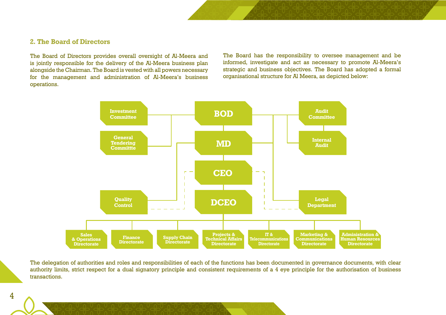#### **2. The Board of Directors**

The Board of Directors provides overall oversight of Al-Meera and is jointly responsible for the delivery of the Al-Meera business plan alongside the Chairman. The Board is vested with all powers necessary for the management and administration of Al-Meera's business operations.

The Board has the responsibility to oversee management and be informed, investigate and act as necessary to promote Al-Meera's strategic and business objectives. The Board has adopted a formal organisational structure for Al Meera, as depicted below:



The delegation of authorities and roles and responsibilities of each of the functions has been documented in governance documents, with clear authority limits, strict respect for a dual signatory principle and consistent requirements of a 4 eye principle for the authorisation of business transactions.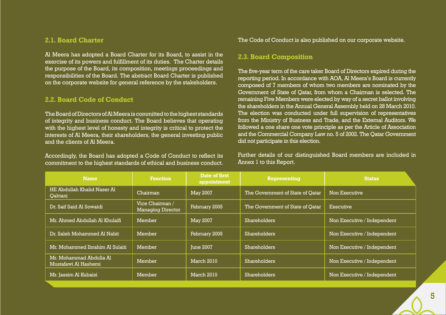#### **2.1. Board Charter**

Al Meera has adopted a Board Charter for its Board, to assist in the exercise of its powers and fulfillment of its duties. The Charter details the purpose of the Board, its composition, meetings proceedings and responsibilities of the Board. The abstract Board Charter is published on the corporate website for general reference by the stakeholders.

### **2.2. Board Code of Conduct**

The Board of Directors of Al Meera is committed to the highest standards of integrity and business conduct. The Board believes that operating with the highest level of honesty and integrity is critical to protect the interests of Al Meera, their shareholders, the general investing public and the clients of Al Meera.

Accordingly, the Board has adopted a Code of Conduct to reflect its commitment to the highest standards of ethical and business conduct. The Code of Conduct is also published on our corporate website.

#### **2.3. Board Composition**

The five-year term of the care taker Board of Directors expired during the reporting period. In accordance with AOA, Al Meera's Board is currently composed of 7 members of whom two members are nominated by the Government of State of Qatar, from whom a Chairman is selected. The remaining Five Members were elected by way of a secret ballot involving the shareholders in the Annual General Assembly held on 28 March 2010. The election was conducted under full supervision of representatives from the Ministry of Business and Trade, and the External Auditors. We followed a one share one vote principle as per the Article of Association and the Commercial Company Law no. 5 of 2002. The Qatar Government did not participate in this election.

Further details of our distinguished Board members are included in Annex 1 to this Report.

| <b>Name</b>                                     | <b>Function</b>                             | Date of first<br>appointment | <b>Representing</b>              | <b>Status</b>               |
|-------------------------------------------------|---------------------------------------------|------------------------------|----------------------------------|-----------------------------|
| HE Abdullah Khalid Naser Al<br>Qahtani          | Chairman                                    | <b>May 2007</b>              | The Government of State of Qatar | Non Executive               |
| Dr. Saif Said Al Sowaidi                        | Vice Chairman /<br><b>Managing Director</b> | February 2005                | The Government of State of Qatar | Executive                   |
| Mr. Ahmed Abdullah Al Khulaifi                  | Member                                      | <b>May 2007</b>              | <b>Shareholders</b>              | Non Executive / Independent |
| Dr. Saleh Mohammed Al Nabit                     | Member                                      | February 2005                | Shareholders                     | Non Executive / Independent |
| Mr. Mohammed Ibrahim Al Sulaiti                 | Member                                      | <b>June 2007</b>             | <b>Shareholders</b>              | Non Executive / Independent |
| Mr. Mohammad Abdulla Al<br>Mustafawi Al Hashemi | Member                                      | March 2010                   | <b>Shareholders</b>              | Non Executive / Independent |
| Mr. Jassim Al Kubaisi                           | Member                                      | March 2010                   | <b>Shareholders</b>              | Non Executive / Independent |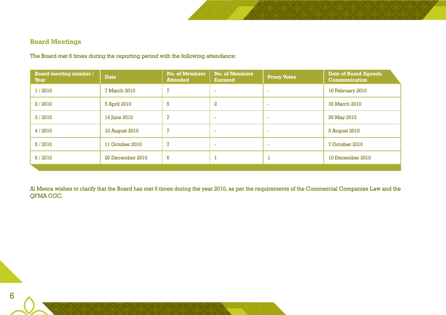### **Board Meetings**

The Board met 6 times during the reporting period with the following attendance:

| <b>Board meeting number /</b><br><b>Year</b> | <b>Date</b>      | <b>No. of Members</b><br><b>Attended</b> | <b>No. of Members</b><br><b>Excused</b> | <b>Proxy Votes</b>       | Date of Board Agenda<br><b>Communication</b> |
|----------------------------------------------|------------------|------------------------------------------|-----------------------------------------|--------------------------|----------------------------------------------|
| 1/2010                                       | 7 March 2010     | 7                                        | <b>.</b>                                | $\overline{\phantom{a}}$ | 16 February 2010                             |
| 2/2010                                       | 5 April 2010     | 5                                        | $\mathbf{2}$                            | $\overline{\phantom{a}}$ | 30 March 2010                                |
| 3/2010                                       | 14 June 2010     | $\overline{7}$                           | ٠                                       | ٠                        | 26 May 2010                                  |
| 4/2010                                       | 10 August 2010   | 7                                        | ٠                                       | ٠                        | 5 August 2010                                |
| 5/2010                                       | 11 October 2010  | 7                                        | <b>.</b>                                | $\overline{\phantom{a}}$ | 7 October 2010                               |
| 6/2010                                       | 20 December 2010 | 6                                        | J.                                      |                          | 10 December 2010                             |
|                                              |                  |                                          |                                         |                          |                                              |

Al Meera wishes to clarify that the Board has met 6 times during the year 2010, as per the requirements of the Commercial Companies Law and the QFMA CGC.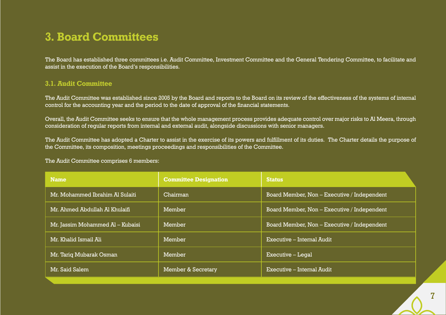### **3. Board Committees**

The Board has established three committees i.e. Audit Committee, Investment Committee and the General Tendering Committee, to facilitate and assist in the execution of the Board's responsibilities.

### **3.1. Audit Committee**

The Audit Committee was established since 2005 by the Board and reports to the Board on its review of the effectiveness of the systems of internal control for the accounting year and the period to the date of approval of the financial statements.

Overall, the Audit Committee seeks to ensure that the whole management process provides adequate control over major risks to Al Meera, through consideration of regular reports from internal and external audit, alongside discussions with senior managers.

The Audit Committee has adopted a Charter to assist in the exercise of its powers and fulfillment of its duties. The Charter details the purpose of the Committee, its composition, meetings proceedings and responsibilities of the Committee.

The Audit Committee comprises 6 members:

| <b>Name</b>                      | <b>Committee Designation</b> | <b>Status</b>                               |
|----------------------------------|------------------------------|---------------------------------------------|
| Mr. Mohammed Ibrahim Al Sulaiti  | Chairman                     | Board Member, Non - Executive / Independent |
| Mr. Ahmed Abdullah Al Khulaifi   | Member                       | Board Member, Non - Executive / Independent |
| Mr. Jassim Mohammed Al – Kubaisi | Member                       | Board Member, Non - Executive / Independent |
| Mr. Khalid Ismail Ali            | Member                       | Executive – Internal Audit                  |
| Mr. Tariq Mubarak Osman          | Member                       | Executive - Legal                           |
| Mr. Said Salem                   | Member & Secretary           | Executive - Internal Audit                  |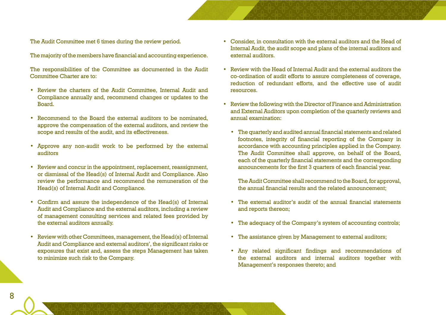The Audit Committee met 6 times during the review period.

The majority of the members have financial and accounting experience.

The responsibilities of the Committee as documented in the Audit Committee Charter are to:

- • Review the charters of the Audit Committee, Internal Audit and Compliance annually and, recommend changes or updates to the Board.
- Recommend to the Board the external auditors to be nominated. approve the compensation of the external auditors, and review the scope and results of the audit, and its effectiveness.
- Approve any non-audit work to be performed by the external auditors
- Review and concur in the appointment, replacement, reassignment, or dismissal of the Head(s) of Internal Audit and Compliance. Also review the performance and recommend the remuneration of the Head(s) of Internal Audit and Compliance.
- • Confirm and assure the independence of the Head(s) of Internal Audit and Compliance and the external auditors, including a review of management consulting services and related fees provided by the external auditors annually.
- Review with other Committees, management, the Head(s) of Internal Audit and Compliance and external auditors', the significant risks or exposures that exist and, assess the steps Management has taken to minimize such risk to the Company.
- • Consider, in consultation with the external auditors and the Head of Internal Audit, the audit scope and plans of the internal auditors and external auditors.
- • Review with the Head of Internal Audit and the external auditors the co-ordination of audit efforts to assure completeness of coverage, reduction of redundant efforts, and the effective use of audit resources.
- Review the following with the Director of Finance and Administration and External Auditors upon completion of the quarterly reviews and annual examination:
	- The quarterly and audited annual financial statements and related footnotes, integrity of financial reporting of the Company in accordance with accounting principles applied in the Company. The Audit Committee shall approve, on behalf of the Board, each of the quarterly financial statements and the corresponding announcements for the first 3 quarters of each financial year.

The Audit Committee shall recommend to the Board, for approval, the annual financial results and the related announcement;

- • The external auditor's audit of the annual financial statements and reports thereon;
- The adequacy of the Company's system of accounting controls;
- The assistance given by Management to external auditors;
- • Any related significant findings and recommendations of the external auditors and internal auditors together with Management's responses thereto; and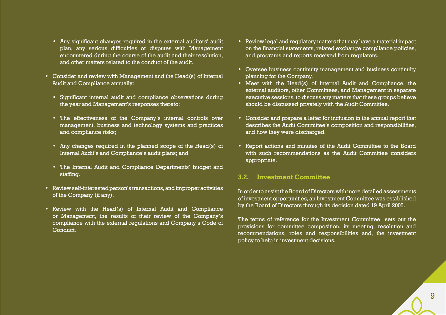- • Any significant changes required in the external auditors' audit plan, any serious difficulties or disputes with Management encountered during the course of the audit and their resolution, and other matters related to the conduct of the audit.
- • Consider and review with Management and the Head(s) of Internal Audit and Compliance annually:
	- Significant internal audit and compliance observations during the year and Management's responses thereto;
	- The effectiveness of the Company's internal controls over management, business and technology systems and practices and compliance risks;
	- Any changes required in the planned scope of the Head(s) of Internal Audit's and Compliance's audit plans; and
	- The Internal Audit and Compliance Departments' budget and staffing.
- Review self-interested person's transactions, and improper activities of the Company (if any).
- • Review with the Head(s) of Internal Audit and Compliance or Management, the results of their review of the Company's compliance with the external regulations and Company's Code of Conduct.
- • Review legal and regulatory matters that may have a material impact on the financial statements, related exchange compliance policies, and programs and reports received from regulators.
- • Oversee business continuity management and business continuity planning for the Company.
- Meet with the Head(s) of Internal Audit and Compliance, the external auditors, other Committees, and Management in separate executive sessions, to discuss any matters that these groups believe should be discussed privately with the Audit Committee.
- • Consider and prepare a letter for inclusion in the annual report that describes the Audit Committee's composition and responsibilities, and how they were discharged.
- Report actions and minutes of the Audit Committee to the Board with such recommendations as the Audit Committee considers appropriate.

### **3.2. Investment Committee**

In order to assist the Board of Directors with more detailed assessments of investment opportunities, an Investment Committee was established by the Board of Directors through its decision dated 19 April 2005.

The terms of reference for the Investment Committee sets out the provisions for committee composition, its meeting, resolution and recommendations, roles and responsibilities and, the investment policy to help in investment decisions.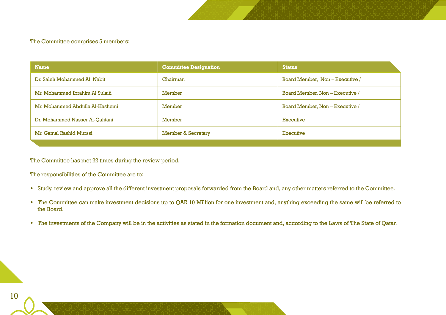#### The Committee comprises 5 members:

| <b>Name</b>                     | <b>Committee Designation</b>  | <b>Status</b>                   |
|---------------------------------|-------------------------------|---------------------------------|
| Dr. Saleh Mohammed Al Nabit     | Chairman                      | Board Member, Non - Executive / |
| Mr. Mohammed Ibrahim Al Sulaiti | Member                        | Board Member, Non - Executive / |
| Mr. Mohammed Abdulla Al-Hashemi | Member                        | Board Member, Non – Executive / |
| Dr. Mohammed Nasser Al-Qahtani  | Member                        | Executive                       |
| Mr. Gamal Rashid Murssi         | <b>Member &amp; Secretary</b> | Executive                       |

The Committee has met 22 times during the review period.

The responsibilities of the Committee are to:

- • Study, review and approve all the different investment proposals forwarded from the Board and, any other matters referred to the Committee.
- The Committee can make investment decisions up to QAR 10 Million for one investment and, anything exceeding the same will be referred to the Board.
- The investments of the Company will be in the activities as stated in the formation document and, according to the Laws of The State of Qatar.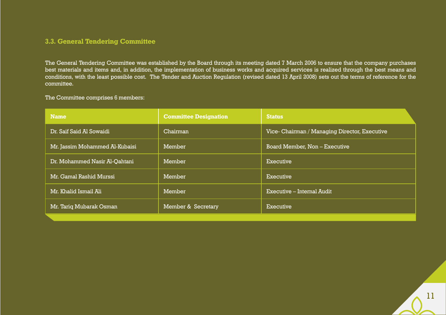### **3.3. General Tendering Committee**

The General Tendering Committee was established by the Board through its meeting dated 7 March 2006 to ensure that the company purchases best materials and items and, in addition, the implementation of business works and acquired services is realized through the best means and conditions, with the least possible cost. The Tender and Auction Regulation (revised dated 13 April 2008) sets out the terms of reference for the committee.

#### The Committee comprises 6 members:

| <b>Name</b>                    | <b>Committee Designation</b> | <b>Status</b>                                 |
|--------------------------------|------------------------------|-----------------------------------------------|
| Dr. Saif Said Al Sowaidi       | Chairman                     | Vice- Chairman / Managing Director, Executive |
| Mr. Jassim Mohammed Al-Kubaisi | Member                       | Board Member, Non - Executive                 |
| Dr. Mohammed Nasir Al-Qahtani  | Member                       | Executive                                     |
| Mr. Gamal Rashid Murssi        | Member                       | Executive                                     |
| Mr. Khalid Ismail Ali          | Member                       | $Executive$ – Internal Audit                  |
| Mr. Tariq Mubarak Osman        | Member & Secretary           | Executive                                     |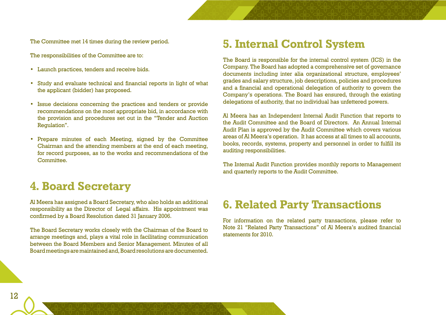The Committee met 14 times during the review period.

The responsibilities of the Committee are to:

- • Launch practices, tenders and receive bids.
- • Study and evaluate technical and financial reports in light of what the applicant (bidder) has proposed.
- • Issue decisions concerning the practices and tenders or provide recommendations on the most appropriate bid, in accordance with the provision and procedures set out in the "Tender and Auction Regulation".
- • Prepare minutes of each Meeting, signed by the Committee Chairman and the attending members at the end of each meeting, for record purposes, as to the works and recommendations of the Committee.

### **4. Board Secretary**

Al Meera has assigned a Board Secretary, who also holds an additional responsibility as the Director of Legal affairs. His appointment was confirmed by a Board Resolution dated 31 January 2006.

The Board Secretary works closely with the Chairman of the Board to arrange meetings and, plays a vital role in facilitating communication between the Board Members and Senior Management. Minutes of all Board meetings are maintained and, Board resolutions are documented.

### **5. Internal Control System**

The Board is responsible for the internal control system (ICS) in the Company. The Board has adopted a comprehensive set of governance documents including inter alia organizational structure, employees' grades and salary structure, job descriptions, policies and procedures and a financial and operational delegation of authority to govern the Company's operations. The Board has ensured, through the existing delegations of authority, that no individual has unfettered powers.

Al Meera has an Independent Internal Audit Function that reports to the Audit Committee and the Board of Directors. An Annual Internal Audit Plan is approved by the Audit Committee which covers various areas of Al Meera's operation. It has access at all times to all accounts, books, records, systems, property and personnel in order to fulfill its auditing responsibilities.

The Internal Audit Function provides monthly reports to Management and quarterly reports to the Audit Committee.

### **6. Related Party Transactions**

For information on the related party transactions, please refer to Note 21 "Related Party Transactions" of Al Meera's audited financial statements for 2010.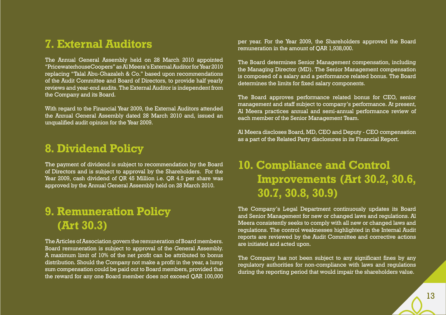### **7. External Auditors**

The Annual General Assembly held on 28 March 2010 appointed "PricewaterhouseCoopers" asAlMeera'sExternalAuditorfor Year 2010 replacing "Talal Abu-Ghazaleh & Co." based upon recommendations of the Audit Committee and Board of Directors, to provide half yearly reviews and year-end audits. The External Auditor is independent from the Company and its Board.

With regard to the Financial Year 2009, the External Auditors attended the Annual General Assembly dated 28 March 2010 and, issued an unqualified audit opinion for the Year 2009.

### **8. Dividend Policy**

The payment of dividend is subject to recommendation by the Board of Directors and is subject to approval by the Shareholders. For the Year 2009, cash dividend of QR 45 Million i.e. QR 4.5 per share was approved by the Annual General Assembly held on 28 March 2010.

## **9. Remuneration Policy (Art 30.3)**

The Articles of Association govern the remuneration of Board members. Board remuneration is subject to approval of the General Assembly. A maximum limit of 10% of the net profit can be attributed to bonus distribution. Should the Company not make a profit in the year, a lump sum compensation could be paid out to Board members, provided that the reward for any one Board member does not exceed QAR 100,000

per year. For the Year 2009, the Shareholders approved the Board remuneration in the amount of QAR 1,938,000.

The Board determines Senior Management compensation, including the Managing Director (MD). The Senior Management compensation is composed of a salary and a performance related bonus. The Board determines the limits for fixed salary components.

The Board approves performance related bonus for CEO, senior management and staff subject to company's performance. At present, Al Meera practices annual and semi-annual performance review of each member of the Senior Management Team.

Al Meera discloses Board, MD, CEO and Deputy - CEO compensation as a part of the Related Party disclosures in its Financial Report.

## **10. Compliance and Control Improvements (Art 30.2, 30.6, 30.7, 30.8, 30.9)**

The Company's Legal Department continuously updates its Board and Senior Management for new or changed laws and regulations. Al Meera consistently seeks to comply with all new or changed laws and regulations. The control weaknesses highlighted in the Internal Audit reports are reviewed by the Audit Committee and corrective actions are initiated and acted upon.

The Company has not been subject to any significant fines by any regulatory authorities for non-compliance with laws and regulations during the reporting period that would impair the shareholders value.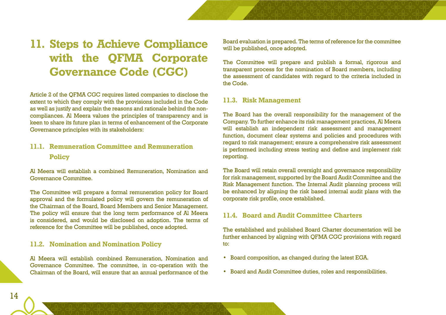# **11. Steps to Achieve Compliance with the QFMA Corporate Governance Code (CGC)**

Article 2 of the QFMA CGC requires listed companies to disclose the extent to which they comply with the provisions included in the Code as well as justify and explain the reasons and rationale behind the noncompliances. Al Meera values the principles of transparency and is keen to share its future plan in terms of enhancement of the Corporate Governance principles with its stakeholders:

### **11.1. Remuneration Committee and Remuneration Policy**

Al Meera will establish a combined Remuneration, Nomination and Governance Committee.

The Committee will prepare a formal remuneration policy for Board approval and the formulated policy will govern the remuneration of the Chairman of the Board, Board Members and Senior Management. The policy will ensure that the long term performance of Al Meera is considered, and would be disclosed on adoption. The terms of reference for the Committee will be published, once adopted.

### **11.2. Nomination and Nomination Policy**

Al Meera will establish combined Remuneration, Nomination and Governance Committee. The committee, in co-operation with the Chairman of the Board, will ensure that an annual performance of the Board evaluation is prepared. The terms of reference for the committee will be published, once adopted.

The Committee will prepare and publish a formal, rigorous and transparent process for the nomination of Board members, including the assessment of candidates with regard to the criteria included in the Code.

### **11.3. Risk Management**

The Board has the overall responsibility for the management of the Company. To further enhance its risk management practices, Al Meera will establish an independent risk assessment and management function, document clear systems and policies and procedures with regard to risk management; ensure a comprehensive risk assessment is performed including stress testing and define and implement risk reporting.

The Board will retain overall oversight and governance responsibility for risk management, supported by the Board Audit Committee and the Risk Management function. The Internal Audit planning process will be enhanced by aligning the risk based internal audit plans with the corporate risk profile, once established.

### **11.4. Board and Audit Committee Charters**

The established and published Board Charter documentation will be further enhanced by aligning with QFMA CGC provisions with regard to:

- • Board composition, as changed during the latest EGA.
- • Board and Audit Committee duties, roles and responsibilities.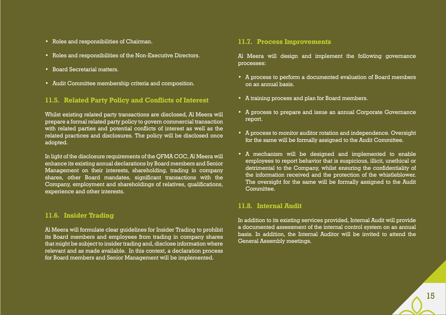- • Roles and responsibilities of Chairman.
- Roles and responsibilities of the Non-Executive Directors.
- • Board Secretarial matters.
- • Audit Committee membership criteria and composition.

### **11.5. Related Party Policy and Conflicts of Interest**

Whilst existing related party transactions are disclosed, Al Meera will prepare a formal related party policy to govern commercial transaction with related parties and potential conflicts of interest as well as the related practices and disclosures. The policy will be disclosed once adopted.

In light of the disclosure requirements of the QFMA CGC, Al Meera will enhance its existing annual declarations by Board members and Senior Management on their interests, shareholding, trading in company shares, other Board mandates, significant transactions with the Company, employment and shareholdings of relatives, qualifications, experience and other interests.

### **11.6. Insider Trading**

Al Meera will formulate clear guidelines for Insider Trading to prohibit its Board members and employees from trading in company shares that might be subject to insider trading and, disclose information where relevant and as made available. In this context, a declaration process for Board members and Senior Management will be implemented.

### **11.7. Process Improvements**

Al Meera will design and implement the following governance processes:

- • A process to perform a documented evaluation of Board members on an annual basis.
- • A training process and plan for Board members.
- • A process to prepare and issue an annual Corporate Governance report.
- • A process to monitor auditor rotation and independence. Oversight for the same will be formally assigned to the Audit Committee.
- • A mechanism will be designed and implemented to enable employees to report behavior that is suspicious, illicit, unethical or detrimental to the Company, whilst ensuring the confidentiality of the information received and the protection of the whistleblower. The oversight for the same will be formally assigned to the Audit Committee.

### **11.8. Internal Audit**

In addition to its existing services provided, Internal Audit will provide a documented assessment of the internal control system on an annual basis. In addition, the Internal Auditor will be invited to attend the General Assembly meetings.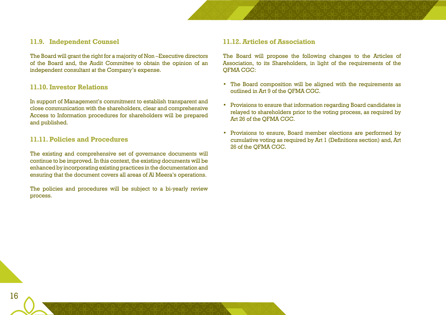### **11.9. Independent Counsel**

The Board will grant the right for a majority of Non –Executive directors of the Board and, the Audit Committee to obtain the opinion of an independent consultant at the Company's expense.

### **11.10. Investor Relations**

In support of Management's commitment to establish transparent and close communication with the shareholders, clear and comprehensive Access to Information procedures for shareholders will be prepared and published.

### **11.11. Policies and Procedures**

The existing and comprehensive set of governance documents will continue to be improved. In this context, the existing documents will be enhanced by incorporating existing practices in the documentation and ensuring that the document covers all areas of Al Meera's operations.

The policies and procedures will be subject to a bi-yearly review process.

### **11.12. Articles of Association**

The Board will propose the following changes to the Articles of Association, to its Shareholders, in light of the requirements of the QFMA CGC:

- The Board composition will be aligned with the requirements as outlined in Art 9 of the QFMA CGC.
- Provisions to ensure that information regarding Board candidates is relayed to shareholders prior to the voting process, as required by Art 26 of the QFMA CGC.
- • Provisions to ensure, Board member elections are performed by cumulative voting as required by Art 1 (Definitions section) and, Art 26 of the QFMA CGC.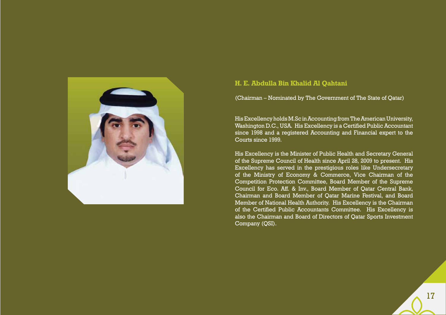

### **H. E. Abdulla Bin Khalid Al Qahtani**

(Chairman – Nominated by The Government of The State of Qatar)

HisExcellency holdsM.Sc inAccountingfrom TheAmerican University, Washington D.C., USA. His Excellency is a Certified Public Accountant since 1998 and a registered Accounting and Financial expert to the Courts since 1999.

His Excellency is the Minister of Public Health and Secretary General of the Supreme Council of Health since April 28, 2009 to present. His Excellency has served in the prestigious roles like Undersecretary of the Ministry of Economy & Commerce, Vice Chairman of the Competition Protection Committee, Board Member of the Supreme Council for Eco. Aff. & Inv., Board Member of Qatar Central Bank, Chairman and Board Member of Qatar Marine Festival, and Board Member of National Health Authority. His Excellency is the Chairman of the Certified Public Accountants Committee. His Excellency is also the Chairman and Board of Directors of Qatar Sports Investment Company (QSI).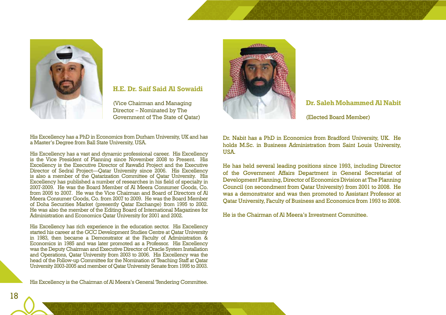

### **H.E. Dr. Saif Said Al Sowaidi**

(Vice Chairman and Managing Director – Nominated by The Government of The State of Qatar)

His Excellency has a PhD in Economics from Durham University, UK and has a Master's Degree from Ball State University, USA.

His Excellency has a vast and dynamic professional career. His Excellency is the Vice President of Planning since November 2008 to Present. His Excellency is the Executive Director of Rawafid Project and the Executive Director of Sedral Project—Qatar University since 2006. His Excellency is also a member of the Qatarization Committee of Qatar University. His Excellency has published a number of researches in his field of specialty in 2007-2009. He was the Board Member of Al Meera Consumer Goods, Co. from 2005 to 2007. He was the Vice Chairman and Board of Directors of Al Meera Consumer Goods, Co. from 2007 to 2009. He was the Board Member of Doha Securities Market (presently Qatar Exchange) from 1995 to 2002. He was also the member of the Editing Board of International Magazines for Administration and Economics Qatar University for 2001 and 2002.

His Excellency has rich experience in the education sector. His Excellency started his career at the GCC Development Studies Centre at Qatar University in 1983, then became a Demonstrator at the Faculty of Administration & Economics in 1985 and was later promoted as a Professor. His Excellency was the Deputy Chairman and Executive Director of Oracle System Installation and Operations, Qatar University from 2003 to 2006. His Excellency was the head of the Follow-up Committee for the Nomination of Teaching Staff at Qatar University 2003-2005 and member of Qatar University Senate from 1995 to 2003.

His Excellency is the Chairman of Al Meera's General Tendering Committee.



### **Dr. Saleh Mohammed Al Nabit**

(Elected Board Member)

Dr. Nabit has a PhD in Economics from Bradford University, UK. He holds M.Sc. in Business Administration from Saint Louis University, **USA** 

He has held several leading positions since 1993, including Director of the Government Affairs Department in General Secretariat of Development Planning, Director of Economics Division at The Planning Council (on secondment from Qatar University) from 2001 to 2008. He was a demonstrator and was then promoted to Assistant Professor at Qatar University, Faculty of Business and Economics from 1993 to 2008.

He is the Chairman of Al Meera's Investment Committee.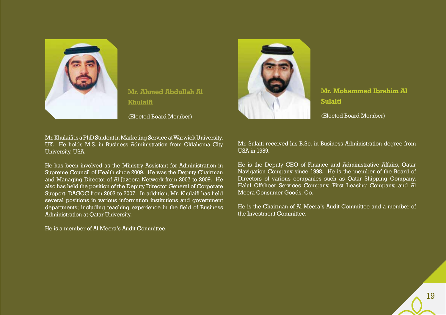

**Mr. Ahmed Abdullah Al Khulaifi**

(Elected Board Member)

Mr. Khulaifi is a PhD Student in Marketing Service at Warwick University, UK. He holds M.S. in Business Administration from Oklahoma City University, USA.

He has been involved as the Ministry Assistant for Administration in Supreme Council of Health since 2009. He was the Deputy Chairman and Managing Director of Al Jazeera Network from 2007 to 2009. He also has held the position of the Deputy Director General of Corporate Support, DAGOC from 2003 to 2007. In addition, Mr. Khulaifi has held several positions in various information institutions and government departments; including teaching experience in the field of Business Administration at Qatar University.

He is a member of Al Meera's Audit Committee.



**Mr. Mohammed Ibrahim Al Sulaiti**

(Elected Board Member)

Mr. Sulaiti received his B.Sc. in Business Administration degree from USA in 1989.

He is the Deputy CEO of Finance and Administrative Affairs, Qatar Navigation Company since 1998. He is the member of the Board of Directors of various companies such as Qatar Shipping Company, Halul Offshoer Services Company, First Leasing Company, and Al Meera Consumer Goods, Co.

He is the Chairman of Al Meera's Audit Committee and a member of the Investment Committee.